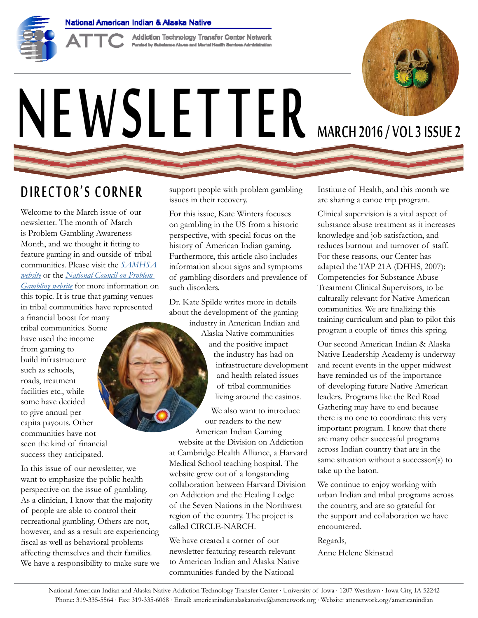

**Addiction Technology Transfer Center Network<br>Funded by Substance Abuse and Merial Health Services Administration** 

# NEWSLETTER MARCH 2016/VOL 3 ISSUE 2



### DIRECTOR'S CORNER

Welcome to the March issue of our newsletter. The month of March is Problem Gambling Awareness Month, and we thought it fitting to feature gaming in and outside of tribal communities. Please visit the *[SAMHSA](http://blog.samhsa.gov/2015/03/30/march-is-problem-gambling-awareness-month/#.VuNCdfkrJD8)  [website](http://blog.samhsa.gov/2015/03/30/march-is-problem-gambling-awareness-month/#.VuNCdfkrJD8)* or the *[National Council on Problem](http://www.ncpgambling.org/programs-resources/programs/awareness-month/)  [Gambling website](http://www.ncpgambling.org/programs-resources/programs/awareness-month/)* for more information on this topic. It is true that gaming venues in tribal communities have represented

a financial boost for many tribal communities. Some have used the income from gaming to build infrastructure such as schools, roads, treatment facilities etc., while some have decided to give annual per capita payouts. Other communities have not seen the kind of financial success they anticipated.

In this issue of our newsletter, we want to emphasize the public health perspective on the issue of gambling. As a clinician, I know that the majority of people are able to control their recreational gambling. Others are not, however, and as a result are experiencing fiscal as well as behavioral problems affecting themselves and their families. We have a responsibility to make sure we support people with problem gambling issues in their recovery.

For this issue, Kate Winters focuses on gambling in the US from a historic perspective, with special focus on the history of American Indian gaming. Furthermore, this article also includes information about signs and symptoms of gambling disorders and prevalence of such disorders.

Dr. Kate Spilde writes more in details about the development of the gaming

industry in American Indian and Alaska Native communities and the positive impact the industry has had on infrastructure development and health related issues of tribal communities living around the casinos.

We also want to introduce our readers to the new American Indian Gaming

website at the Division on Addiction at Cambridge Health Alliance, a Harvard Medical School teaching hospital. The website grew out of a longstanding collaboration between Harvard Division on Addiction and the Healing Lodge of the Seven Nations in the Northwest region of the country. The project is called CIRCLE-NARCH.

We have created a corner of our newsletter featuring research relevant to American Indian and Alaska Native communities funded by the National

Institute of Health, and this month we are sharing a canoe trip program.

Clinical supervision is a vital aspect of substance abuse treatment as it increases knowledge and job satisfaction, and reduces burnout and turnover of staff. For these reasons, our Center has adapted the TAP 21A (DHHS, 2007): Competencies for Substance Abuse Treatment Clinical Supervisors, to be culturally relevant for Native American communities. We are finalizing this training curriculum and plan to pilot this program a couple of times this spring.

Our second American Indian & Alaska Native Leadership Academy is underway and recent events in the upper midwest have reminded us of the importance of developing future Native American leaders. Programs like the Red Road Gathering may have to end because there is no one to coordinate this very important program. I know that there are many other successful programs across Indian country that are in the same situation without a successor(s) to take up the baton.

We continue to enjoy working with urban Indian and tribal programs across the country, and are so grateful for the support and collaboration we have encountered.

### Regards,

Anne Helene Skinstad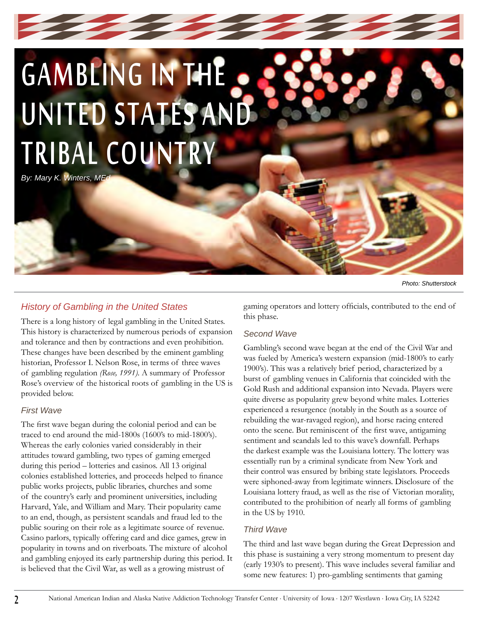# GAMBLING IN THE UNITED STATES AND TRIBAL COUNTRY

*By: Mary K. Winters, MEd*

### *History of Gambling in the United States*

There is a long history of legal gambling in the United States. This history is characterized by numerous periods of expansion and tolerance and then by contractions and even prohibition. These changes have been described by the eminent gambling historian, Professor I. Nelson Rose, in terms of three waves of gambling regulation *(Rose, 1991)*. A summary of Professor Rose's overview of the historical roots of gambling in the US is provided below.

### *First Wave*

The first wave began during the colonial period and can be traced to end around the mid-1800s (1600's to mid-1800's). Whereas the early colonies varied considerably in their attitudes toward gambling, two types of gaming emerged during this period – lotteries and casinos. All 13 original colonies established lotteries, and proceeds helped to finance public works projects, public libraries, churches and some of the country's early and prominent universities, including Harvard, Yale, and William and Mary. Their popularity came to an end, though, as persistent scandals and fraud led to the public souring on their role as a legitimate source of revenue. Casino parlors, typically offering card and dice games, grew in popularity in towns and on riverboats. The mixture of alcohol and gambling enjoyed its early partnership during this period. It is believed that the Civil War, as well as a growing mistrust of

gaming operators and lottery officials, contributed to the end of this phase.

### *Second Wave*

Gambling's second wave began at the end of the Civil War and was fueled by America's western expansion (mid-1800's to early 1900's). This was a relatively brief period, characterized by a burst of gambling venues in California that coincided with the Gold Rush and additional expansion into Nevada. Players were quite diverse as popularity grew beyond white males. Lotteries experienced a resurgence (notably in the South as a source of rebuilding the war-ravaged region), and horse racing entered onto the scene. But reminiscent of the first wave, antigaming sentiment and scandals led to this wave's downfall. Perhaps the darkest example was the Louisiana lottery. The lottery was essentially run by a criminal syndicate from New York and their control was ensured by bribing state legislators. Proceeds were siphoned-away from legitimate winners. Disclosure of the Louisiana lottery fraud, as well as the rise of Victorian morality, contributed to the prohibition of nearly all forms of gambling in the US by 1910.

### *Third Wave*

The third and last wave began during the Great Depression and this phase is sustaining a very strong momentum to present day (early 1930's to present). This wave includes several familiar and some new features: 1) pro-gambling sentiments that gaming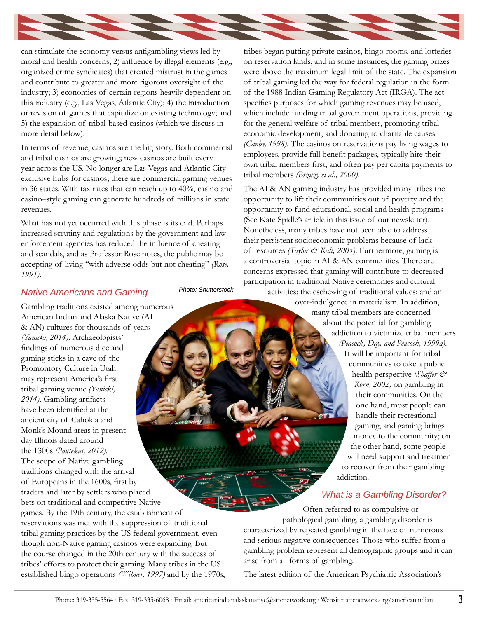

can stimulate the economy versus antigambling views led by moral and health concerns; 2) influence by illegal elements (e.g., organized crime syndicates) that created mistrust in the games and contribute to greater and more rigorous oversight of the industry; 3) economies of certain regions heavily dependent on this industry (e.g., Las Vegas, Atlantic City); 4) the introduction or revision of games that capitalize on existing technology; and 5) the expansion of tribal-based casinos (which we discuss in more detail below).

In terms of revenue, casinos are the big story. Both commercial and tribal casinos are growing; new casinos are built every year across the US. No longer are Las Vegas and Atlantic City exclusive hubs for casinos; there are commercial gaming venues in 36 states. With tax rates that can reach up to 40%, casino and casino–style gaming can generate hundreds of millions in state revenues.

What has not yet occurred with this phase is its end. Perhaps increased scrutiny and regulations by the government and law enforcement agencies has reduced the influence of cheating and scandals, and as Professor Rose notes, the public may be accepting of living "with adverse odds but not cheating" *(Rose, 1991)*.

### *Native Americans and Gaming*

Gambling traditions existed among numerous American Indian and Alaska Native (AI & AN) cultures for thousands of years *(Yanicki, 2014)*. Archaeologists' findings of numerous dice and gaming sticks in a cave of the Promontory Culture in Utah may represent America's first tribal gaming venue *(Yanicki, 2014)*. Gambling artifacts have been identified at the ancient city of Cahokia and Monk's Mound areas in present day Illinois dated around the 1300s *(Pautekat, 2012)*. The scope of Native gambling traditions changed with the arrival of Europeans in the 1600s, first by traders and later by settlers who placed bets on traditional and competitive Native games. By the 19th century, the establishment of reservations was met with the suppression of traditional tribal gaming practices by the US federal government, even though non-Native gaming casinos were expanding. But the course changed in the 20th century with the success of tribes' efforts to protect their gaming. Many tribes in the US established bingo operations *(Wilmer, 1997)* and by the 1970s,

*Photo: Shutterstock*

tribes began putting private casinos, bingo rooms, and lotteries on reservation lands, and in some instances, the gaming prizes were above the maximum legal limit of the state. The expansion of tribal gaming led the way for federal regulation in the form of the 1988 Indian Gaming Regulatory Act (IRGA). The act specifies purposes for which gaming revenues may be used, which include funding tribal government operations, providing for the general welfare of tribal members, promoting tribal economic development, and donating to charitable causes *(Canby, 1998)*. The casinos on reservations pay living wages to employees, provide full benefit packages, typically hire their own tribal members first, and often pay per capita payments to tribal members *(Brzuzy et al., 2000)*.

The AI & AN gaming industry has provided many tribes the opportunity to lift their communities out of poverty and the opportunity to fund educational, social and health programs (See Kate Spidle's article in this issue of our newsletter). Nonetheless, many tribes have not been able to address their persistent socioeconomic problems because of lack of resources *(Taylor & Kalt, 2005)*. Furthermore, gaming is a controversial topic in AI & AN communities. There are concerns expressed that gaming will contribute to decreased participation in traditional Native ceremonies and cultural

activities; the eschewing of traditional values; and an over-indulgence in materialism. In addition, many tribal members are concerned about the potential for gambling addiction to victimize tribal members *(Peacock, Day, and Peacock, 1999a)*. It will be important for tribal communities to take a public health perspective *(Shaffer & Korn, 2002)* on gambling in their communities. On the one hand, most people can handle their recreational gaming, and gaming brings money to the community; on the other hand, some people will need support and treatment to recover from their gambling addiction.

### *What is a Gambling Disorder?*

Often referred to as compulsive or pathological gambling, a gambling disorder is characterized by repeated gambling in the face of numerous and serious negative consequences. Those who suffer from a gambling problem represent all demographic groups and it can arise from all forms of gambling.

The latest edition of the American Psychiatric Association's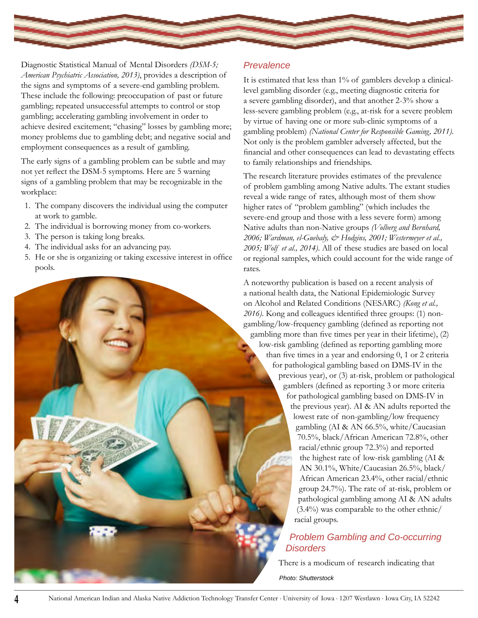

Diagnostic Statistical Manual of Mental Disorders *(DSM-5; American Psychiatric Association, 2013)*, provides a description of the signs and symptoms of a severe-end gambling problem. These include the following: preoccupation of past or future gambling; repeated unsuccessful attempts to control or stop gambling; accelerating gambling involvement in order to achieve desired excitement; "chasing" losses by gambling more; money problems due to gambling debt; and negative social and employment consequences as a result of gambling.

The early signs of a gambling problem can be subtle and may not yet reflect the DSM-5 symptoms. Here are 5 warning signs of a gambling problem that may be recognizable in the workplace:

- 1. The company discovers the individual using the computer at work to gamble.
- 2. The individual is borrowing money from co-workers.
- 3. The person is taking long breaks.
- 4. The individual asks for an advancing pay.
- 5. He or she is organizing or taking excessive interest in office pools.

### *Prevalence*

It is estimated that less than 1% of gamblers develop a clinicallevel gambling disorder (e.g., meeting diagnostic criteria for a severe gambling disorder), and that another 2-3% show a less-severe gambling problem (e.g., at-risk for a severe problem by virtue of having one or more sub-clinic symptoms of a gambling problem) *(National Center for Responsible Gaming, 2011)*. Not only is the problem gambler adversely affected, but the financial and other consequences can lead to devastating effects to family relationships and friendships.

The research literature provides estimates of the prevalence of problem gambling among Native adults. The extant studies reveal a wide range of rates, although most of them show higher rates of "problem gambling" (which includes the severe-end group and those with a less severe form) among Native adults than non-Native groups *(Volberg and Bernhard, 2006; Wardman, el-Guebaly, & Hodgins, 2001; Westermeyer et al., 2005; Wolf et al., 2014)*. All of these studies are based on local or regional samples, which could account for the wide range of rates.

A noteworthy publication is based on a recent analysis of a national health data, the National Epidemiologic Survey on Alcohol and Related Conditions (NESARC) *(Kong et al., 2016)*. Kong and colleagues identified three groups: (1) nongambling/low-frequency gambling (defined as reporting not gambling more than five times per year in their lifetime), (2) low-risk gambling (defined as reporting gambling more than five times in a year and endorsing 0, 1 or 2 criteria for pathological gambling based on DMS-IV in the previous year), or (3) at-risk, problem or pathological gamblers (defined as reporting 3 or more criteria for pathological gambling based on DMS-IV in the previous year). AI & AN adults reported the lowest rate of non-gambling/low frequency gambling (AI & AN 66.5%, white/Caucasian 70.5%, black/African American 72.8%, other racial/ethnic group 72.3%) and reported the highest rate of low-risk gambling (AI & AN 30.1%, White/Caucasian 26.5%, black/ African American 23.4%, other racial/ethnic group 24.7%). The rate of at-risk, problem or pathological gambling among AI & AN adults (3.4%) was comparable to the other ethnic/ racial groups.

### *Problem Gambling and Co-occurring Disorders*

There is a modicum of research indicating that

*Photo: Shutterstock*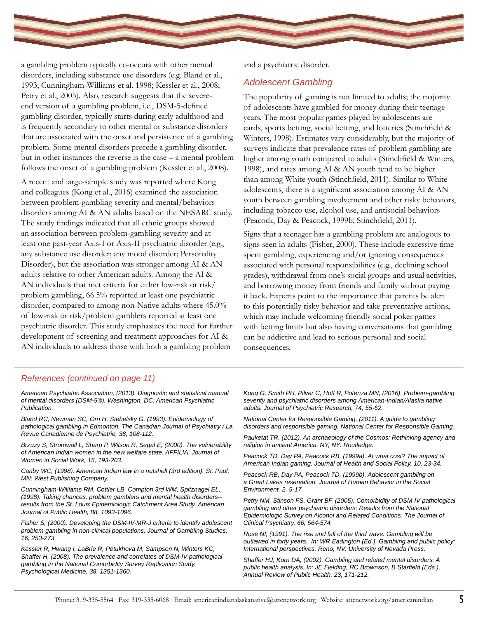

a gambling problem typically co-occurs with other mental disorders, including substance use disorders (e.g. Bland et al., 1993; Cunningham-Williams et al. 1998; Kessler et al., 2008; Petry et al., 2005). Also, research suggests that the severeend version of a gambling problem, i.e., DSM-5-defined gambling disorder, typically starts during early adulthood and is frequently secondary to other mental or substance disorders that are associated with the onset and persistence of a gambling problem. Some mental disorders precede a gambling disorder, but in other instances the reverse is the case – a mental problem follows the onset of a gambling problem (Kessler et al., 2008).

A recent and large-sample study was reported where Kong and colleagues (Kong et al., 2016) examined the association between problem-gambling severity and mental/behaviors disorders among AI & AN adults based on the NESARC study. The study findings indicated that all ethnic groups showed an association between problem-gambling severity and at least one past-year Axis-I or Axis-II psychiatric disorder (e.g., any substance use disorder; any mood disorder; Personality Disorder), but the association was stronger among AI & AN adults relative to other American adults. Among the AI & AN individuals that met criteria for either low-risk or risk/ problem gambling, 66.5% reported at least one psychiatric disorder, compared to among non-Native adults where 45.0% of low-risk or risk/problem gamblers reported at least one psychiatric disorder. This study emphasizes the need for further development of screening and treatment approaches for AI & AN individuals to address those with both a gambling problem

and a psychiatric disorder.

### *Adolescent Gambling*

The popularity of gaming is not limited to adults; the majority of adolescents have gambled for money during their teenage years. The most popular games played by adolescents are cards, sports betting, social betting, and lotteries (Stinchfield & Winters, 1998). Estimates vary considerably, but the majority of surveys indicate that prevalence rates of problem gambling are higher among youth compared to adults (Stinchfield & Winters, 1998), and rates among AI & AN youth tend to be higher than among White youth (Stinchfield, 2011). Similar to White adolescents, there is a significant association among AI & AN youth between gambling involvement and other risky behaviors, including tobacco use, alcohol use, and antisocial behaviors (Peacock, Day & Peacock, 1999b; Stinchfield, 2011).

Signs that a teenager has a gambling problem are analogous to signs seen in adults (Fisher, 2000). These include excessive time spent gambling, experiencing and/or ignoring consequences associated with personal responsibilities (e.g., declining school grades), withdrawal from one's social groups and usual activities, and borrowing money from friends and family without paying it back. Experts point to the importance that parents be alert to this potentially risky behavior and take preventative actions, which may include welcoming friendly social poker games with betting limits but also having conversations that gambling can be addictive and lead to serious personal and social consequences.

### *References (continued on page 11)*

*American Psychiatric Association, (2013). Diagnostic and statistical manual of mental disorders (DSM-5®). Washington, DC: American Psychiatric Publication.*

*Bland RC, Newman SC, Orn H, Stebelsky G, (1993). Epidemiology of pathological gambling in Edmonton. The Canadian Journal of Psychiatry / La Revue Canadienne de Psychiatrie, 38, 108-112.*

*Brzuzy S, Stromwall L, Sharp P, Wilson R, Segal E, (2000). The vulnerability of American Indian women in the new welfare state. AFFILIA, Journal of Women in Social Work, 15, 193-203.*

*Canby WC, (1998). American Indian law in a nutshell (3rd edition). St. Paul, MN: West Publishing Company.*

*Cunningham-Williams RM, Cottler LB, Compton 3rd WM, Spitznagel EL, (1998). Taking chances: problem gamblers and mental health disorders- results from the St. Louis Epidemiologic Catchment Area Study. American Journal of Public Health, 88, 1093-1096.*

*Fisher S, (2000). Developing the DSM-IV-MR-J criteria to identify adolescent problem gambling in non-clinical populations. Journal of Gambling Studies, 16, 253-273.*

*Kessler R, Hwang I, LaBrie R, Petukhova M, Sampson N, Winters KC, Shaffer H, (2008). The prevalence and correlates of DSM-IV pathological gambling in the National Comorbidity Survey Replication Study. Psychological Medicine, 38, 1351-1360.* 

*Kong G, Smith PH, Pilver C, Hoff R, Potenza MN, (2016). Problem-gambling severity and psychiatric disorders among American-Indian/Alaska native adults. Journal of Psychiatric Research, 74, 55-62.*

*National Center for Responsible Gaming, (2011). A guide to gambling disorders and responsible gaming. National Center for Responsible Gaming.*

*Pauketat TR, (2012). An archaeology of the Cosmos: Rethinking agency and religion in ancient America. NY, NY: Routledge.*

*Peacock TD, Day PA, Peacock RB, (1999a). At what cost? The impact of American Indian gaming. Journal of Health and Social Policy, 10, 23-34.*

*Peacock RB, Day PA, Peacock TD, (1999b). Adolescent gambling on a Great Lakes reservation. Journal of Human Behavior in the Social Environment, 2, 5-17.*

*Petry NM, Stinson FS, Grant BF, (2005). Comorbidity of DSM-IV pathological gambling and other psychiatric disorders: Results from the National Epidemiologic Survey on Alcohol and Related Conditions. The Journal of Clinical Psychiatry, 66, 564-574.*

*Rose NI, (1991). The rise and fall of the third wave: Gambling will be outlawed in forty years. In: WR Eadington (Ed.), Gambling and public policy: International perspectives. Reno, NV: University of Nevada Press.* 

*Shaffer HJ, Korn DA, (2002). Gambling and related mental disorders: A public health analysis. In: JE Fielding, RC Brownson, B Starfield (Eds.), Annual Review of Public Health, 23, 171-212.*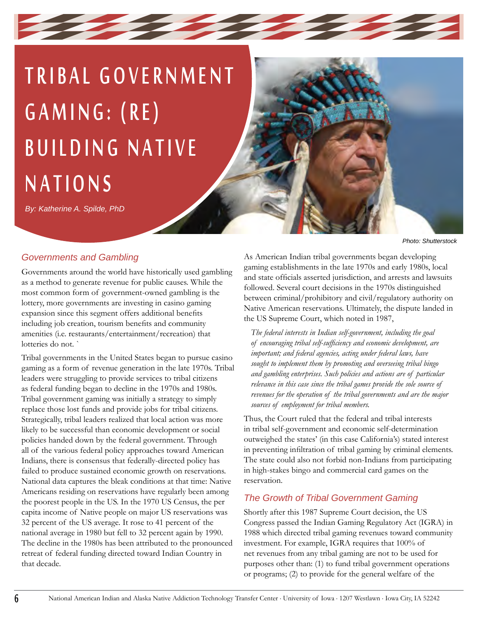## TRIBAL GOVERNMENT GAMING: (RE) BUILDING NATIVE NATIONS

*By: Katherine A. Spilde, PhD*

### *Governments and Gambling*

Governments around the world have historically used gambling as a method to generate revenue for public causes. While the most common form of government-owned gambling is the lottery, more governments are investing in casino gaming expansion since this segment offers additional benefits including job creation, tourism benefits and community amenities (i.e. restaurants/entertainment/recreation) that lotteries do not.

Tribal governments in the United States began to pursue casino gaming as a form of revenue generation in the late 1970s. Tribal leaders were struggling to provide services to tribal citizens as federal funding began to decline in the 1970s and 1980s. Tribal government gaming was initially a strategy to simply replace those lost funds and provide jobs for tribal citizens. Strategically, tribal leaders realized that local action was more likely to be successful than economic development or social policies handed down by the federal government. Through all of the various federal policy approaches toward American Indians, there is consensus that federally-directed policy has failed to produce sustained economic growth on reservations. National data captures the bleak conditions at that time: Native Americans residing on reservations have regularly been among the poorest people in the US. In the 1970 US Census, the per capita income of Native people on major US reservations was 32 percent of the US average. It rose to 41 percent of the national average in 1980 but fell to 32 percent again by 1990. The decline in the 1980s has been attributed to the pronounced retreat of federal funding directed toward Indian Country in that decade.

*Photo: Shutterstock*

As American Indian tribal governments began developing gaming establishments in the late 1970s and early 1980s, local and state officials asserted jurisdiction, and arrests and lawsuits followed. Several court decisions in the 1970s distinguished between criminal/prohibitory and civil/regulatory authority on Native American reservations. Ultimately, the dispute landed in the US Supreme Court, which noted in 1987,

*The federal interests in Indian self-government, including the goal of encouraging tribal self-sufficiency and economic development, are important; and federal agencies, acting under federal laws, have sought to implement them by promoting and overseeing tribal bingo and gambling enterprises. Such policies and actions are of particular relevance in this case since the tribal games provide the sole source of revenues for the operation of the tribal governments and are the major sources of employment for tribal members.* 

Thus, the Court ruled that the federal and tribal interests in tribal self-government and economic self-determination outweighed the states' (in this case California's) stated interest in preventing infiltration of tribal gaming by criminal elements. The state could also not forbid non-Indians from participating in high-stakes bingo and commercial card games on the reservation.

### *The Growth of Tribal Government Gaming*

Shortly after this 1987 Supreme Court decision, the US Congress passed the Indian Gaming Regulatory Act (IGRA) in 1988 which directed tribal gaming revenues toward community investment. For example, IGRA requires that 100% of net revenues from any tribal gaming are not to be used for purposes other than: (1) to fund tribal government operations or programs; (2) to provide for the general welfare of the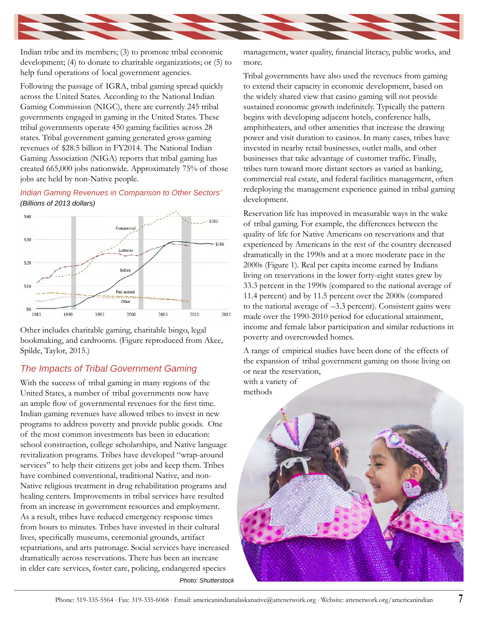

Indian tribe and its members; (3) to promote tribal economic development; (4) to donate to charitable organizations; or (5) to help fund operations of local government agencies.

Following the passage of IGRA, tribal gaming spread quickly across the United States. According to the National Indian Gaming Commission (NIGC), there are currently 245 tribal governments engaged in gaming in the United States. These tribal governments operate 450 gaming facilities across 28 states. Tribal government gaming generated gross gaming revenues of \$28.5 billion in FY2014. The National Indian Gaming Association (NIGA) reports that tribal gaming has created 665,000 jobs nationwide. Approximately 75% of those jobs are held by non-Native people.

### *Indian Gaming Revenues in Comparison to Other Sectors' (Billions of 2013 dollars)*



Other includes charitable gaming, charitable bingo, legal bookmaking, and cardrooms. (Figure reproduced from Akee, Spilde, Taylor, 2015.)

### *The Impacts of Tribal Government Gaming*

With the success of tribal gaming in many regions of the United States, a number of tribal governments now have an ample flow of governmental revenues for the first time. Indian gaming revenues have allowed tribes to invest in new programs to address poverty and provide public goods. One of the most common investments has been in education: school construction, college scholarships, and Native language revitalization programs. Tribes have developed "wrap-around services" to help their citizens get jobs and keep them. Tribes have combined conventional, traditional Native, and non-Native religious treatment in drug rehabilitation programs and healing centers. Improvements in tribal services have resulted from an increase in government resources and employment. As a result, tribes have reduced emergency response times from hours to minutes. Tribes have invested in their cultural lives, specifically museums, ceremonial grounds, artifact repatriations, and arts patronage. Social services have increased dramatically across reservations. There has been an increase in elder care services, foster care, policing, endangered species

*Photo: Shutterstock*

management, water quality, financial literacy, public works, and more.

Tribal governments have also used the revenues from gaming to extend their capacity in economic development, based on the widely shared view that casino gaming will not provide sustained economic growth indefinitely. Typically the pattern begins with developing adjacent hotels, conference halls, amphitheaters, and other amenities that increase the drawing power and visit duration to casinos. In many cases, tribes have invested in nearby retail businesses, outlet malls, and other businesses that take advantage of customer traffic. Finally, tribes turn toward more distant sectors as varied as banking, commercial real estate, and federal facilities management, often redeploying the management experience gained in tribal gaming development.

Reservation life has improved in measurable ways in the wake of tribal gaming. For example, the differences between the quality of life for Native Americans on reservations and that experienced by Americans in the rest of the country decreased dramatically in the 1990s and at a more moderate pace in the 2000s (Figure 1). Real per capita income earned by Indians living on reservations in the lower forty-eight states grew by 33.3 percent in the 1990s (compared to the national average of 11.4 percent) and by 11.5 percent over the 2000s (compared to the national average of –3.3 percent). Consistent gains were made over the 1990-2010 period for educational attainment, income and female labor participation and similar reductions in poverty and overcrowded homes.

A range of empirical studies have been done of the effects of the expansion of tribal government gaming on those living on or near the reservation, with a variety of

methods

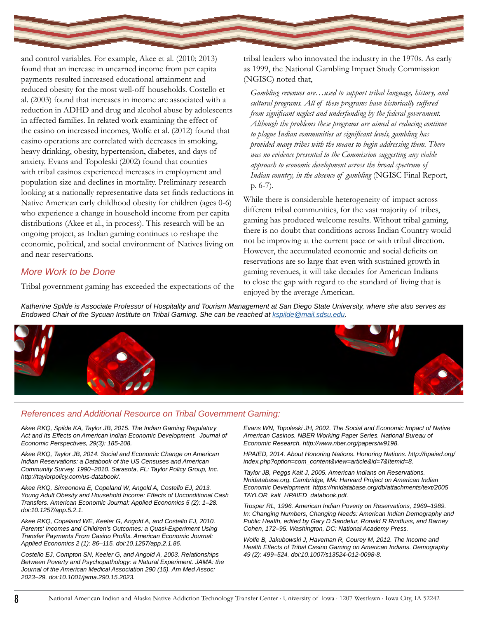

and control variables. For example, Akee et al. (2010; 2013) found that an increase in unearned income from per capita payments resulted increased educational attainment and reduced obesity for the most well-off households. Costello et al. (2003) found that increases in income are associated with a reduction in ADHD and drug and alcohol abuse by adolescents in affected families. In related work examining the effect of the casino on increased incomes, Wolfe et al. (2012) found that casino operations are correlated with decreases in smoking, heavy drinking, obesity, hypertension, diabetes, and days of anxiety. Evans and Topoleski (2002) found that counties with tribal casinos experienced increases in employment and population size and declines in mortality. Preliminary research looking at a nationally representative data set finds reductions in Native American early childhood obesity for children (ages 0-6) who experience a change in household income from per capita distributions (Akee et al., in process). This research will be an ongoing project, as Indian gaming continues to reshape the economic, political, and social environment of Natives living on and near reservations.

### *More Work to be Done*

Tribal government gaming has exceeded the expectations of the

tribal leaders who innovated the industry in the 1970s. As early as 1999, the National Gambling Impact Study Commission (NGISC) noted that,

*Gambling revenues are…used to support tribal language, history, and cultural programs. All of these programs have historically suffered from significant neglect and underfunding by the federal government. Although the problems these programs are aimed at reducing continue to plague Indian communities at significant levels, gambling has provided many tribes with the means to begin addressing them. There was no evidence presented to the Commission suggesting any viable approach to economic development across the broad spectrum of Indian country, in the absence of gambling* (NGISC Final Report, p. 6-7).

While there is considerable heterogeneity of impact across different tribal communities, for the vast majority of tribes, gaming has produced welcome results. Without tribal gaming, there is no doubt that conditions across Indian Country would not be improving at the current pace or with tribal direction. However, the accumulated economic and social deficits on reservations are so large that even with sustained growth in gaming revenues, it will take decades for American Indians to close the gap with regard to the standard of living that is enjoyed by the average American.

*Katherine Spilde is Associate Professor of Hospitality and Tourism Management at San Diego State University, where she also serves as Endowed Chair of the Sycuan Institute on Tribal Gaming. She can be reached at [kspilde@mail.sdsu.edu.](mailto:kspilde%40mail.sdsu.edu?subject=)*



### *References and Additional Resource on Tribal Government Gaming:*

*Akee RKQ, Spilde KA, Taylor JB, 2015. The Indian Gaming Regulatory Act and Its Effects on American Indian Economic Development. Journal of Economic Perspectives, 29(3): 185-208.*

*Akee RKQ, Taylor JB, 2014. Social and Economic Change on American Indian Reservations: a Databook of the US Censuses and American Community Survey, 1990–2010. Sarasota, FL: Taylor Policy Group, Inc. http://taylorpolicy.com/us-databook/.*

*Akee RKQ, Simeonova E, Copeland W, Angold A, Costello EJ, 2013. Young Adult Obesity and Household Income: Effects of Unconditional Cash Transfers. American Economic Journal: Applied Economics 5 (2): 1–28. doi:10.1257/app.5.2.1.*

Akee RKQ, Copeland WE, Keeler G, Angold A, and Costello EJ, 2010. *Parents' Incomes and Children's Outcomes: a Quasi-Experiment Using Transfer Payments From Casino Profits. American Economic Journal: Applied Economics 2 (1): 86–115. doi:10.1257/app.2.1.86.*

*Costello EJ, Compton SN, Keeler G, and Angold A, 2003. Relationships Between Poverty and Psychopathology: a Natural Experiment. JAMA: the Journal of the American Medical Association 290 (15). Am Med Assoc: 2023–29. doi:10.1001/jama.290.15.2023.*

*Evans WN, Topoleski JH, 2002. The Social and Economic Impact of Native American Casinos. NBER Working Paper Series. National Bureau of Economic Research. http://www.nber.org/papers/w9198.*

*HPAIED, 2014. About Honoring Nations. Honoring Nations. http://hpaied.org/ index.php?option=com\_content&view=article&id=7&Itemid=8.*

*Taylor JB, Peggs Kalt J, 2005. American Indians on Reservations. Nnidatabase.org. Cambridge, MA: Harvard Project on American Indian Economic Development. https://nnidatabase.org/db/attachments/text/2005\_ TAYLOR\_kalt\_HPAIED\_databook.pdf.*

*Trosper RL, 1996. American Indian Poverty on Reservations, 1969–1989. In: Changing Numbers, Changing Needs: American Indian Demography and Public Health, edited by Gary D Sandefur, Ronald R Rindfuss, and Barney Cohen, 172–95. Washington, DC: National Academy Press.*

*Wolfe B, Jakubowski J, Haveman R, Courey M, 2012. The Income and Health Effects of Tribal Casino Gaming on American Indians. Demography 49 (2): 499–524. doi:10.1007/s13524-012-0098-8.*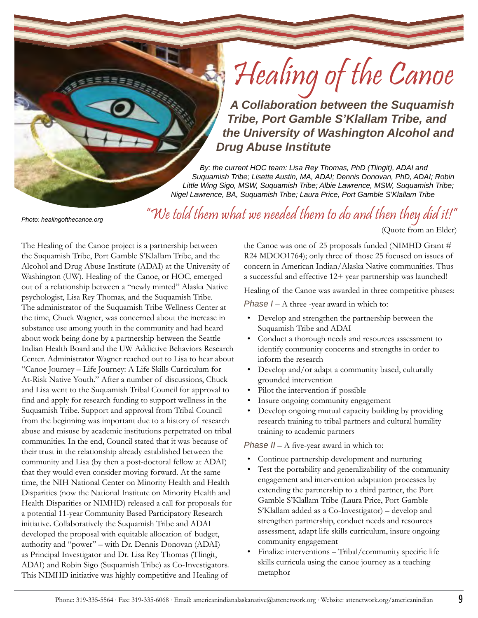# Healing of the Canoe

*A Collaboration between the Suquamish Tribe, Port Gamble S'Klallam Tribe, and the University of Washington Alcohol and Drug Abuse Institute*

*By: the current HOC team: Lisa Rey Thomas, PhD (Tlingit), ADAI and Suquamish Tribe; Lisette Austin, MA, ADAI; Dennis Donovan, PhD, ADAI; Robin Little Wing Sigo, MSW, Suquamish Tribe; Albie Lawrence, MSW, Suquamish Tribe; Nigel Lawrence, BA, Suquamish Tribe; Laura Price, Port Gamble S'Klallam Tribe*

#### *Photo: healingofthecanoe.org*

"We told them what we needed them to do and then they did it!" (Quote from an Elder)

The Healing of the Canoe project is a partnership between the Suquamish Tribe, Port Gamble S'Klallam Tribe, and the Alcohol and Drug Abuse Institute (ADAI) at the University of Washington (UW). Healing of the Canoe, or HOC, emerged out of a relationship between a "newly minted" Alaska Native psychologist, Lisa Rey Thomas, and the Suquamish Tribe. The administrator of the Suquamish Tribe Wellness Center at the time, Chuck Wagner, was concerned about the increase in substance use among youth in the community and had heard about work being done by a partnership between the Seattle Indian Health Board and the UW Addictive Behaviors Research Center. Administrator Wagner reached out to Lisa to hear about "Canoe Journey – Life Journey: A Life Skills Curriculum for At-Risk Native Youth." After a number of discussions, Chuck and Lisa went to the Suquamish Tribal Council for approval to find and apply for research funding to support wellness in the Suquamish Tribe. Support and approval from Tribal Council from the beginning was important due to a history of research abuse and misuse by academic institutions perpetrated on tribal communities. In the end, Council stated that it was because of their trust in the relationship already established between the community and Lisa (by then a post-doctoral fellow at ADAI) that they would even consider moving forward. At the same time, the NIH National Center on Minority Health and Health Disparities (now the National Institute on Minority Health and Health Disparities or NIMHD) released a call for proposals for a potential 11-year Community Based Participatory Research initiative. Collaboratively the Suquamish Tribe and ADAI developed the proposal with equitable allocation of budget, authority and "power" – with Dr. Dennis Donovan (ADAI) as Principal Investigator and Dr. Lisa Rey Thomas (Tlingit, ADAI) and Robin Sigo (Suquamish Tribe) as Co-Investigators. This NIMHD initiative was highly competitive and Healing of

the Canoe was one of 25 proposals funded (NIMHD Grant # R24 MDOO1764); only three of those 25 focused on issues of concern in American Indian/Alaska Native communities. Thus a successful and effective 12+ year partnership was launched!

Healing of the Canoe was awarded in three competitive phases:

*Phase I – A three -year award in which to:* 

- Develop and strengthen the partnership between the Suquamish Tribe and ADAI
- Conduct a thorough needs and resources assessment to identify community concerns and strengths in order to inform the research
- Develop and/or adapt a community based, culturally grounded intervention
- Pilot the intervention if possible
- Insure ongoing community engagement
- Develop ongoing mutual capacity building by providing research training to tribal partners and cultural humility training to academic partners

*Phase II* – A five-year award in which to:

- Continue partnership development and nurturing
- Test the portability and generalizability of the community engagement and intervention adaptation processes by extending the partnership to a third partner, the Port Gamble S'Klallam Tribe (Laura Price, Port Gamble S'Klallam added as a Co-Investigator) – develop and strengthen partnership, conduct needs and resources assessment, adapt life skills curriculum, insure ongoing community engagement
- Finalize interventions Tribal/community specific life skills curricula using the canoe journey as a teaching metaphor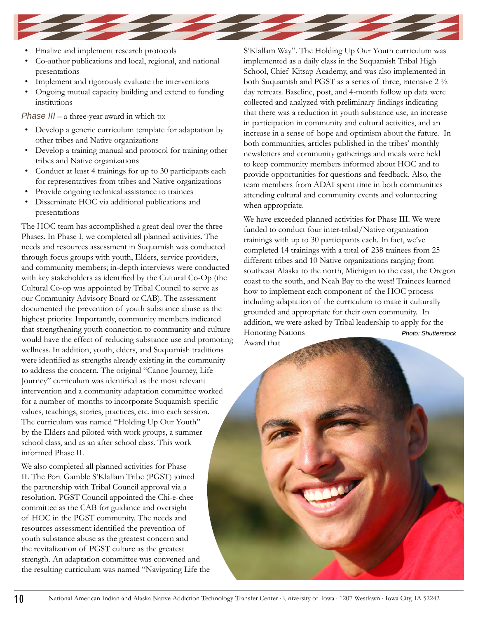

- Finalize and implement research protocols
- Co-author publications and local, regional, and national presentations
- Implement and rigorously evaluate the interventions
- Ongoing mutual capacity building and extend to funding institutions

*Phase III* – a three-year award in which to:

- Develop a generic curriculum template for adaptation by other tribes and Native organizations
- Develop a training manual and protocol for training other tribes and Native organizations
- Conduct at least 4 trainings for up to 30 participants each for representatives from tribes and Native organizations
- Provide ongoing technical assistance to trainees
- Disseminate HOC via additional publications and presentations

The HOC team has accomplished a great deal over the three Phases. In Phase I, we completed all planned activities. The needs and resources assessment in Suquamish was conducted through focus groups with youth, Elders, service providers, and community members; in-depth interviews were conducted with key stakeholders as identified by the Cultural Co-Op (the Cultural Co-op was appointed by Tribal Council to serve as our Community Advisory Board or CAB). The assessment documented the prevention of youth substance abuse as the highest priority. Importantly, community members indicated that strengthening youth connection to community and culture would have the effect of reducing substance use and promoting wellness. In addition, youth, elders, and Suquamish traditions were identified as strengths already existing in the community to address the concern. The original "Canoe Journey, Life Journey" curriculum was identified as the most relevant intervention and a community adaptation committee worked for a number of months to incorporate Suquamish specific values, teachings, stories, practices, etc. into each session. The curriculum was named "Holding Up Our Youth" by the Elders and piloted with work groups, a summer school class, and as an after school class. This work informed Phase II.

We also completed all planned activities for Phase II. The Port Gamble S'Klallam Tribe (PGST) joined the partnership with Tribal Council approval via a resolution. PGST Council appointed the Chi-e-chee committee as the CAB for guidance and oversight of HOC in the PGST community. The needs and resources assessment identified the prevention of youth substance abuse as the greatest concern and the revitalization of PGST culture as the greatest strength. An adaptation committee was convened and the resulting curriculum was named "Navigating Life the S'Klallam Way". The Holding Up Our Youth curriculum was implemented as a daily class in the Suquamish Tribal High School, Chief Kitsap Academy, and was also implemented in both Suquamish and PGST as a series of three, intensive 2 ½ day retreats. Baseline, post, and 4-month follow up data were collected and analyzed with preliminary findings indicating that there was a reduction in youth substance use, an increase in participation in community and cultural activities, and an increase in a sense of hope and optimism about the future. In both communities, articles published in the tribes' monthly newsletters and community gatherings and meals were held to keep community members informed about HOC and to provide opportunities for questions and feedback. Also, the team members from ADAI spent time in both communities attending cultural and community events and volunteering when appropriate.

We have exceeded planned activities for Phase III. We were funded to conduct four inter-tribal/Native organization trainings with up to 30 participants each. In fact, we've completed 14 trainings with a total of 238 trainees from 25 different tribes and 10 Native organizations ranging from southeast Alaska to the north, Michigan to the east, the Oregon coast to the south, and Neah Bay to the west! Trainees learned how to implement each component of the HOC process including adaptation of the curriculum to make it culturally grounded and appropriate for their own community. In addition, we were asked by Tribal leadership to apply for the Honoring Nations Award that *Photo: Shutterstock*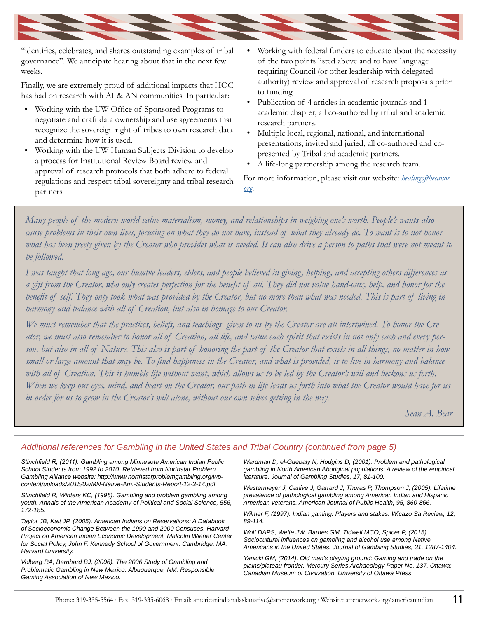

"identifies, celebrates, and shares outstanding examples of tribal governance". We anticipate hearing about that in the next few weeks.

Finally, we are extremely proud of additional impacts that HOC has had on research with AI & AN communities. In particular:

- Working with the UW Office of Sponsored Programs to negotiate and craft data ownership and use agreements that recognize the sovereign right of tribes to own research data and determine how it is used.
- Working with the UW Human Subjects Division to develop a process for Institutional Review Board review and approval of research protocols that both adhere to federal regulations and respect tribal sovereignty and tribal research partners.
- Working with federal funders to educate about the necessity of the two points listed above and to have language requiring Council (or other leadership with delegated authority) review and approval of research proposals prior to funding.
- Publication of 4 articles in academic journals and 1 academic chapter, all co-authored by tribal and academic research partners.
- Multiple local, regional, national, and international presentations, invited and juried, all co-authored and copresented by Tribal and academic partners.
- A life-long partnership among the research team.

For more information, please visit our website: *[healingofthecanoe.](http://healingofthecanoe.org) [org](http://healingofthecanoe.org)*.

*Many people of the modern world value materialism, money, and relationships in weighing one's worth. People's wants also cause problems in their own lives, focusing on what they do not have, instead of what they already do. To want is to not honor what has been freely given by the Creator who provides what is needed. It can also drive a person to paths that were not meant to be followed.*

*I was taught that long ago, our humble leaders, elders, and people believed in giving, helping, and accepting others differences as a gift from the Creator, who only creates perfection for the benefit of all. They did not value hand-outs, help, and honor for the benefit of self. They only took what was provided by the Creator, but no more than what was needed. This is part of living in harmony and balance with all of Creation, but also in homage to our Creator.*

*We must remember that the practices, beliefs, and teachings given to us by the Creator are all intertwined. To honor the Creator, we must also remember to honor all of Creation, all life, and value each spirit that exists in not only each and every person, but also in all of Nature. This also is part of honoring the part of the Creator that exists in all things, no matter in how small or large amount that may be. To find happiness in the Creator, and what is provided, is to live in harmony and balance with all of Creation. This is humble life without want, which allows us to be led by the Creator's will and beckons us forth. When we keep our eyes, mind, and heart on the Creator, our path in life leads us forth into what the Creator would have for us in order for us to grow in the Creator's will alone, without our own selves getting in the way.* 

*- Sean A. Bear*

### *Additional references for Gambling in the United States and Tribal Country (continued from page 5)*

*Stinchfield R, (2011). Gambling among Minnesota American Indian Public School Students from 1992 to 2010. Retrieved from Northstar Problem Gambling Alliance website: http://www.northstarproblemgambling.org/wpcontent/uploads/2015/02/MN-Native-Am.-Students-Report-12-3-14.pdf*

*Stinchfield R, Winters KC, (1998). Gambling and problem gambling among youth. Annals of the American Academy of Political and Social Science, 556, 172-185.*

*Taylor JB, Kalt JP, (2005). American Indians on Reservations: A Databook of Socioeconomic Change Between the 1990 and 2000 Censuses. Harvard Project on American Indian Economic Development, Malcolm Wiener Center for Social Policy, John F. Kennedy School of Government. Cambridge, MA: Harvard University.*

*Volberg RA, Bernhard BJ, (2006). The 2006 Study of Gambling and Problematic Gambling in New Mexico. Albuquerque, NM: Responsible Gaming Association of New Mexico.* 

*Wardman D, el-Guebaly N, Hodgins D, (2001). Problem and pathological gambling in North American Aboriginal populations: A review of the empirical literature. Journal of Gambling Studies, 17, 81-100.*

*Westermeyer J, Canive J, Garrard J, Thuras P, Thompson J, (2005). Lifetime prevalence of pathological gambling among American Indian and Hispanic American veterans. American Journal of Public Health, 95, 860-866.*

*Wilmer F, (1997). Indian gaming: Players and stakes. Wicazo Sa Review, 12, 89-114.*

*Wolf DAPS, Welte JW, Barnes GM, Tidwell MCO, Spicer P, (2015). Sociocultural influences on gambling and alcohol use among Native Americans in the United States. Journal of Gambling Studies, 31, 1387-1404.*

*Yanicki GM, (2014). Old man's playing ground: Gaming and trade on the plains/plateau frontier. Mercury Series Archaeology Paper No. 137. Ottawa: Canadian Museum of Civilization, University of Ottawa Press.*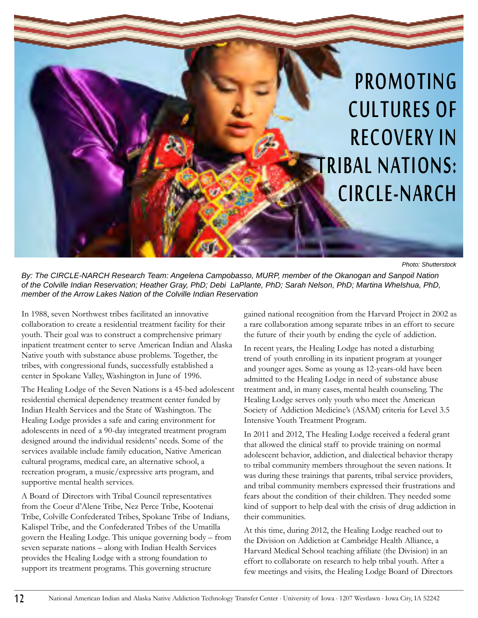### PROMOTING CULTURES OF RECOVERY IN RIBAL NATIONS: CIRCLE-NARCH

*Photo: Shutterstock*

*By: The CIRCLE-NARCH Research Team: Angelena Campobasso, MURP, member of the Okanogan and Sanpoil Nation of the Colville Indian Reservation; Heather Gray, PhD; Debi LaPlante, PhD; Sarah Nelson, PhD; Martina Whelshua, PhD, member of the Arrow Lakes Nation of the Colville Indian Reservation*

In 1988, seven Northwest tribes facilitated an innovative collaboration to create a residential treatment facility for their youth. Their goal was to construct a comprehensive primary inpatient treatment center to serve American Indian and Alaska Native youth with substance abuse problems. Together, the tribes, with congressional funds, successfully established a center in Spokane Valley, Washington in June of 1996.

The Healing Lodge of the Seven Nations is a 45-bed adolescent residential chemical dependency treatment center funded by Indian Health Services and the State of Washington. The Healing Lodge provides a safe and caring environment for adolescents in need of a 90-day integrated treatment program designed around the individual residents' needs. Some of the services available include family education, Native American cultural programs, medical care, an alternative school, a recreation program, a music/expressive arts program, and supportive mental health services.

A Board of Directors with Tribal Council representatives from the Coeur d'Alene Tribe, Nez Perce Tribe, Kootenai Tribe, Colville Confederated Tribes, Spokane Tribe of Indians, Kalispel Tribe, and the Confederated Tribes of the Umatilla govern the Healing Lodge. This unique governing body – from seven separate nations – along with Indian Health Services provides the Healing Lodge with a strong foundation to support its treatment programs. This governing structure

gained national recognition from the Harvard Project in 2002 as a rare collaboration among separate tribes in an effort to secure the future of their youth by ending the cycle of addiction.

In recent years, the Healing Lodge has noted a disturbing trend of youth enrolling in its inpatient program at younger and younger ages. Some as young as 12-years-old have been admitted to the Healing Lodge in need of substance abuse treatment and, in many cases, mental health counseling. The Healing Lodge serves only youth who meet the American Society of Addiction Medicine's (ASAM) criteria for Level 3.5 Intensive Youth Treatment Program.

In 2011 and 2012, The Healing Lodge received a federal grant that allowed the clinical staff to provide training on normal adolescent behavior, addiction, and dialectical behavior therapy to tribal community members throughout the seven nations. It was during these trainings that parents, tribal service providers, and tribal community members expressed their frustrations and fears about the condition of their children. They needed some kind of support to help deal with the crisis of drug addiction in their communities.

At this time, during 2012, the Healing Lodge reached out to the Division on Addiction at Cambridge Health Alliance, a Harvard Medical School teaching affiliate (the Division) in an effort to collaborate on research to help tribal youth. After a few meetings and visits, the Healing Lodge Board of Directors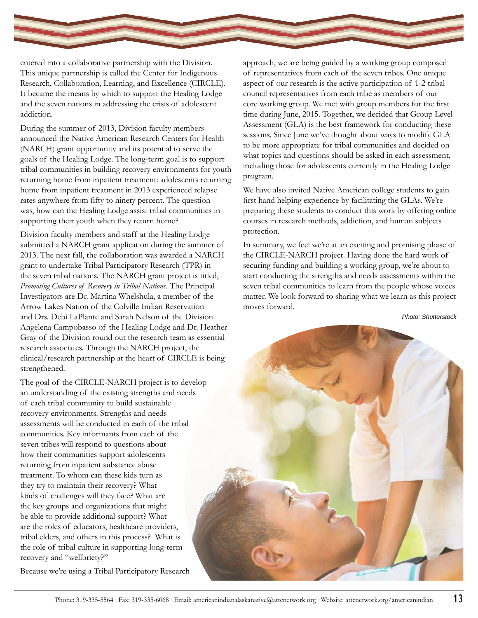

entered into a collaborative partnership with the Division. This unique partnership is called the Center for Indigenous Research, Collaboration, Learning, and Excellence (CIRCLE). It became the means by which to support the Healing Lodge and the seven nations in addressing the crisis of adolescent addiction.

During the summer of 2013, Division faculty members announced the Native American Research Centers for Health (NARCH) grant opportunity and its potential to serve the goals of the Healing Lodge. The long-term goal is to support tribal communities in building recovery environments for youth returning home from inpatient treatment: adolescents returning home from inpatient treatment in 2013 experienced relapse rates anywhere from fifty to ninety percent. The question was, how can the Healing Lodge assist tribal communities in supporting their youth when they return home?

Division faculty members and staff at the Healing Lodge submitted a NARCH grant application during the summer of 2013. The next fall, the collaboration was awarded a NARCH grant to undertake Tribal Participatory Research (TPR) in the seven tribal nations. The NARCH grant project is titled, *Promoting Cultures of Recovery in Tribal Nations*. The Principal Investigators are Dr. Martina Whelshula, a member of the Arrow Lakes Nation of the Colville Indian Reservation and Drs. Debi LaPlante and Sarah Nelson of the Division. Angelena Campobasso of the Healing Lodge and Dr. Heather Gray of the Division round out the research team as essential research associates. Through the NARCH project, the clinical/research partnership at the heart of CIRCLE is being strengthened.

The goal of the CIRCLE-NARCH project is to develop an understanding of the existing strengths and needs of each tribal community to build sustainable recovery environments. Strengths and needs assessments will be conducted in each of the tribal communities. Key informants from each of the seven tribes will respond to questions about how their communities support adolescents returning from inpatient substance abuse treatment. To whom can these kids turn as they try to maintain their recovery? What kinds of challenges will they face? What are the key groups and organizations that might be able to provide additional support? What are the roles of educators, healthcare providers, tribal elders, and others in this process? What is the role of tribal culture in supporting long-term recovery and "wellbriety?"

Because we're using a Tribal Participatory Research

approach, we are being guided by a working group composed of representatives from each of the seven tribes. One unique aspect of our research is the active participation of 1-2 tribal council representatives from each tribe as members of our core working group. We met with group members for the first time during June, 2015. Together, we decided that Group Level Assessment (GLA) is the best framework for conducting these sessions. Since June we've thought about ways to modify GLA to be more appropriate for tribal communities and decided on what topics and questions should be asked in each assessment, including those for adolescents currently in the Healing Lodge program.

We have also invited Native American college students to gain first hand helping experience by facilitating the GLAs. We're preparing these students to conduct this work by offering online courses in research methods, addiction, and human subjects protection.

In summary, we feel we're at an exciting and promising phase of the CIRCLE-NARCH project. Having done the hard work of securing funding and building a working group, we're about to start conducting the strengths and needs assessments within the seven tribal communities to learn from the people whose voices matter. We look forward to sharing what we learn as this project moves forward.

*Photo: Shutterstock*